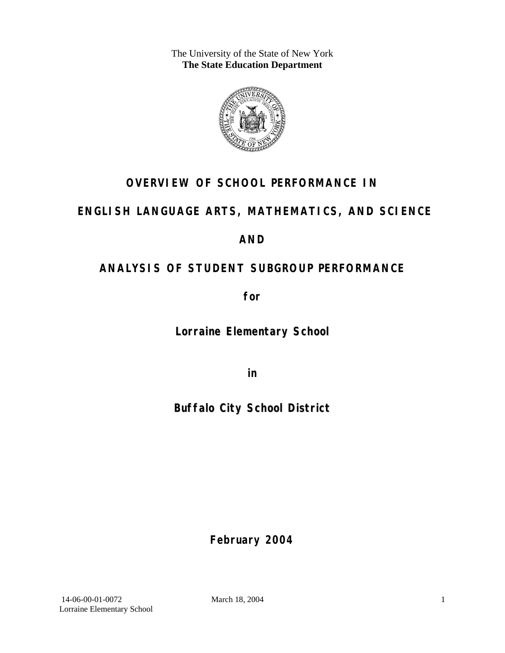The University of the State of New York **The State Education Department** 



# **OVERVIEW OF SCHOOL PERFORMANCE IN**

# **ENGLISH LANGUAGE ARTS, MATHEMATICS, AND SCIENCE**

## **AND**

# **ANALYSIS OF STUDENT SUBGROUP PERFORMANCE**

**for** 

**Lorraine Elementary School**

**in** 

**Buffalo City School District**

**February 2004**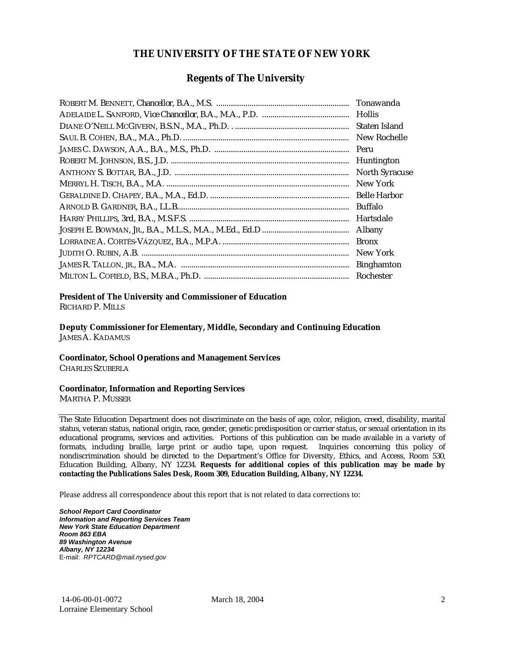### **THE UNIVERSITY OF THE STATE OF NEW YORK**

### **Regents of The University**

| Tonawanda             |
|-----------------------|
| <b>Hollis</b>         |
| Staten Island         |
| New Rochelle          |
| Peru                  |
| Huntington            |
| <b>North Syracuse</b> |
| New York              |
| <b>Belle Harbor</b>   |
| <b>Buffalo</b>        |
| Hartsdale             |
| Albany                |
| <b>Bronx</b>          |
| New York              |
| <b>Binghamton</b>     |
| Rochester             |

#### **President of The University and Commissioner of Education**

RICHARD P. MILLS

**Deputy Commissioner for Elementary, Middle, Secondary and Continuing Education**  JAMES A. KADAMUS

#### **Coordinator, School Operations and Management Services**

CHARLES SZUBERLA

#### **Coordinator, Information and Reporting Services**

MARTHA P. MUSSER

The State Education Department does not discriminate on the basis of age, color, religion, creed, disability, marital status, veteran status, national origin, race, gender, genetic predisposition or carrier status, or sexual orientation in its educational programs, services and activities. Portions of this publication can be made available in a variety of formats, including braille, large print or audio tape, upon request. Inquiries concerning this policy of nondiscrimination should be directed to the Department's Office for Diversity, Ethics, and Access, Room 530, Education Building, Albany, NY 12234. **Requests for additional copies of this publication may be made by contacting the Publications Sales Desk, Room 309, Education Building, Albany, NY 12234.** 

Please address all correspondence about this report that is not related to data corrections to:

*School Report Card Coordinator Information and Reporting Services Team New York State Education Department Room 863 EBA 89 Washington Avenue Albany, NY 12234*  E-mail: *RPTCARD@mail.nysed.gov*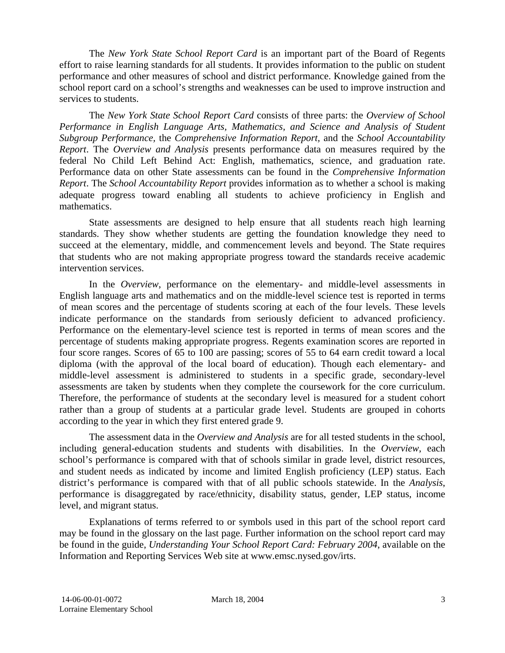The *New York State School Report Card* is an important part of the Board of Regents effort to raise learning standards for all students. It provides information to the public on student performance and other measures of school and district performance. Knowledge gained from the school report card on a school's strengths and weaknesses can be used to improve instruction and services to students.

The *New York State School Report Card* consists of three parts: the *Overview of School Performance in English Language Arts, Mathematics, and Science and Analysis of Student Subgroup Performance,* the *Comprehensive Information Report,* and the *School Accountability Report*. The *Overview and Analysis* presents performance data on measures required by the federal No Child Left Behind Act: English, mathematics, science, and graduation rate. Performance data on other State assessments can be found in the *Comprehensive Information Report*. The *School Accountability Report* provides information as to whether a school is making adequate progress toward enabling all students to achieve proficiency in English and mathematics.

State assessments are designed to help ensure that all students reach high learning standards. They show whether students are getting the foundation knowledge they need to succeed at the elementary, middle, and commencement levels and beyond. The State requires that students who are not making appropriate progress toward the standards receive academic intervention services.

In the *Overview*, performance on the elementary- and middle-level assessments in English language arts and mathematics and on the middle-level science test is reported in terms of mean scores and the percentage of students scoring at each of the four levels. These levels indicate performance on the standards from seriously deficient to advanced proficiency. Performance on the elementary-level science test is reported in terms of mean scores and the percentage of students making appropriate progress. Regents examination scores are reported in four score ranges. Scores of 65 to 100 are passing; scores of 55 to 64 earn credit toward a local diploma (with the approval of the local board of education). Though each elementary- and middle-level assessment is administered to students in a specific grade, secondary-level assessments are taken by students when they complete the coursework for the core curriculum. Therefore, the performance of students at the secondary level is measured for a student cohort rather than a group of students at a particular grade level. Students are grouped in cohorts according to the year in which they first entered grade 9.

The assessment data in the *Overview and Analysis* are for all tested students in the school, including general-education students and students with disabilities. In the *Overview*, each school's performance is compared with that of schools similar in grade level, district resources, and student needs as indicated by income and limited English proficiency (LEP) status. Each district's performance is compared with that of all public schools statewide. In the *Analysis*, performance is disaggregated by race/ethnicity, disability status, gender, LEP status, income level, and migrant status.

Explanations of terms referred to or symbols used in this part of the school report card may be found in the glossary on the last page. Further information on the school report card may be found in the guide, *Understanding Your School Report Card: February 2004*, available on the Information and Reporting Services Web site at www.emsc.nysed.gov/irts.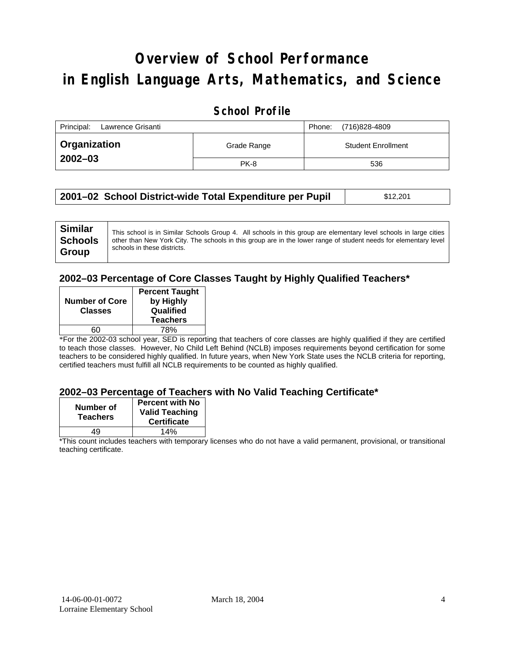# **Overview of School Performance in English Language Arts, Mathematics, and Science**

## **School Profile**

| Principal:<br>Lawrence Grisanti |             | (716)828-4809<br>Phone:   |
|---------------------------------|-------------|---------------------------|
| <b>Organization</b>             | Grade Range | <b>Student Enrollment</b> |
| $2002 - 03$                     | <b>PK-8</b> | 536                       |

| 2001–02 School District-wide Total Expenditure per Pupil | \$12,201 |
|----------------------------------------------------------|----------|
|----------------------------------------------------------|----------|

| <b>Similar</b><br><b>Schools</b> | This school is in Similar Schools Group 4. All schools in this group are elementary level schools in large cities<br>other than New York City. The schools in this group are in the lower range of student needs for elementary level<br>schools in these districts. |
|----------------------------------|----------------------------------------------------------------------------------------------------------------------------------------------------------------------------------------------------------------------------------------------------------------------|
| Group                            |                                                                                                                                                                                                                                                                      |

## **2002–03 Percentage of Core Classes Taught by Highly Qualified Teachers\***

| <b>Number of Core</b><br><b>Classes</b> | <b>Percent Taught</b><br>by Highly<br>Qualified<br><b>Teachers</b> |
|-----------------------------------------|--------------------------------------------------------------------|
|                                         |                                                                    |
| 60                                      | 78%                                                                |
|                                         |                                                                    |

\*For the 2002-03 school year, SED is reporting that teachers of core classes are highly qualified if they are certified to teach those classes. However, No Child Left Behind (NCLB) imposes requirements beyond certification for some teachers to be considered highly qualified. In future years, when New York State uses the NCLB criteria for reporting, certified teachers must fulfill all NCLB requirements to be counted as highly qualified.

#### **2002–03 Percentage of Teachers with No Valid Teaching Certificate\***

| Number of<br><b>Teachers</b> | <b>Percent with No</b><br><b>Valid Teaching</b><br><b>Certificate</b> |
|------------------------------|-----------------------------------------------------------------------|
| 49                           | 14%                                                                   |

\*This count includes teachers with temporary licenses who do not have a valid permanent, provisional, or transitional teaching certificate.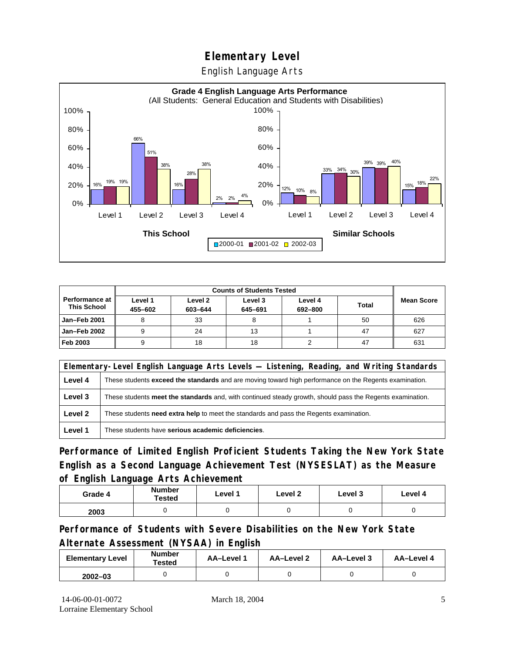English Language Arts



|                                      |                    | <b>Counts of Students Tested</b> |                    |                    |              |                   |
|--------------------------------------|--------------------|----------------------------------|--------------------|--------------------|--------------|-------------------|
| Performance at<br><b>This School</b> | Level 1<br>455-602 | Level 2<br>603-644               | Level 3<br>645-691 | Level 4<br>692-800 | <b>Total</b> | <b>Mean Score</b> |
| <b>Jan-Feb 2001</b>                  |                    | 33                               |                    |                    | 50           | 626               |
| Jan-Feb 2002                         |                    | 24                               | 13                 |                    | 47           | 627               |
| Feb 2003                             |                    | 18                               | 18                 |                    | 47           | 631               |

|         | Elementary-Level English Language Arts Levels — Listening, Reading, and Writing Standards                 |  |  |  |
|---------|-----------------------------------------------------------------------------------------------------------|--|--|--|
| Level 4 | These students exceed the standards and are moving toward high performance on the Regents examination.    |  |  |  |
| Level 3 | These students meet the standards and, with continued steady growth, should pass the Regents examination. |  |  |  |
| Level 2 | These students <b>need extra help</b> to meet the standards and pass the Regents examination.             |  |  |  |
| Level 1 | These students have serious academic deficiencies.                                                        |  |  |  |

**Performance of Limited English Proficient Students Taking the New York State English as a Second Language Achievement Test (NYSESLAT) as the Measure of English Language Arts Achievement**

| Grade 4 | <b>Number</b><br>Tested | Level 1 | Level 2 | Level 3 | Level 4 |
|---------|-------------------------|---------|---------|---------|---------|
| 2003    |                         |         |         |         |         |

**Performance of Students with Severe Disabilities on the New York State Alternate Assessment (NYSAA) in English** 

| <b>Elementary Level</b> | <b>Number</b><br>Tested | AA-Level 1 | AA-Level 2 | AA-Level 3 | AA-Level 4 |
|-------------------------|-------------------------|------------|------------|------------|------------|
| $2002 - 03$             |                         |            |            |            |            |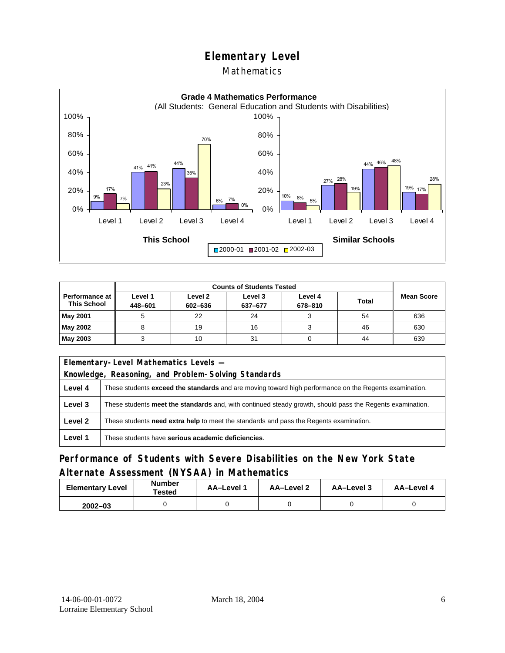## **Mathematics**



|                                        |                    | <b>Counts of Students Tested</b> |                    |                    |              |                   |
|----------------------------------------|--------------------|----------------------------------|--------------------|--------------------|--------------|-------------------|
| Performance at I<br><b>This School</b> | Level 1<br>448-601 | Level 2<br>602-636               | Level 3<br>637-677 | Level 4<br>678-810 | <b>Total</b> | <b>Mean Score</b> |
| May 2001                               |                    | 22                               | 24                 |                    | 54           | 636               |
| May 2002                               |                    | 19                               | 16                 | د                  | 46           | 630               |
| May 2003                               |                    | 10                               | 31                 |                    | 44           | 639               |

|         | Elementary-Level Mathematics Levels -                                                                         |  |  |
|---------|---------------------------------------------------------------------------------------------------------------|--|--|
|         | Knowledge, Reasoning, and Problem-Solving Standards                                                           |  |  |
| Level 4 | These students <b>exceed the standards</b> and are moving toward high performance on the Regents examination. |  |  |
| Level 3 | These students meet the standards and, with continued steady growth, should pass the Regents examination.     |  |  |
| Level 2 | These students need extra help to meet the standards and pass the Regents examination.                        |  |  |
| Level 1 | These students have serious academic deficiencies.                                                            |  |  |

## **Performance of Students with Severe Disabilities on the New York State Alternate Assessment (NYSAA) in Mathematics**

| <b>Elementary Level</b> | <b>Number</b><br>Tested | AA-Level 1 | AA-Level 2 | AA-Level 3 | AA-Level 4 |
|-------------------------|-------------------------|------------|------------|------------|------------|
| $2002 - 03$             |                         |            |            |            |            |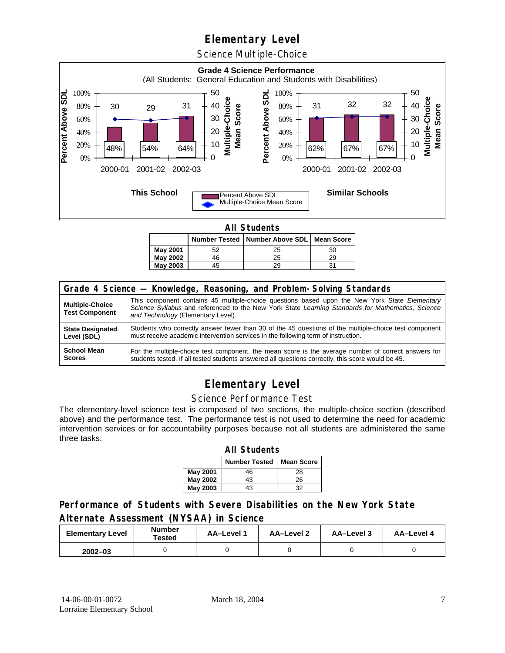Science Multiple-Choice



|  | <b>All Students</b> |
|--|---------------------|
|--|---------------------|

|                 |    | Number Tested   Number Above SDL   Mean Score |    |
|-----------------|----|-----------------------------------------------|----|
| <b>May 2001</b> |    | 25                                            | 30 |
| May 2002        | 46 | 25                                            | 29 |
| May 2003        | 45 | 29                                            | 31 |

|                                                 | Grade 4 Science - Knowledge, Reasoning, and Problem-Solving Standards                                                                                                                                                                    |  |  |  |  |
|-------------------------------------------------|------------------------------------------------------------------------------------------------------------------------------------------------------------------------------------------------------------------------------------------|--|--|--|--|
| <b>Multiple-Choice</b><br><b>Test Component</b> | This component contains 45 multiple-choice questions based upon the New York State Elementary<br>Science Syllabus and referenced to the New York State Learning Standards for Mathematics, Science<br>and Technology (Elementary Level). |  |  |  |  |
| <b>State Designated</b>                         | Students who correctly answer fewer than 30 of the 45 questions of the multiple-choice test component                                                                                                                                    |  |  |  |  |
| Level (SDL)                                     | must receive academic intervention services in the following term of instruction.                                                                                                                                                        |  |  |  |  |
| <b>School Mean</b>                              | For the multiple-choice test component, the mean score is the average number of correct answers for                                                                                                                                      |  |  |  |  |
| <b>Scores</b>                                   | students tested. If all tested students answered all questions correctly, this score would be 45.                                                                                                                                        |  |  |  |  |

# **Elementary Level**

#### Science Performance Test

The elementary-level science test is composed of two sections, the multiple-choice section (described above) and the performance test. The performance test is not used to determine the need for academic intervention services or for accountability purposes because not all students are administered the same three tasks.

| <b>All Students</b> |                      |                   |  |  |
|---------------------|----------------------|-------------------|--|--|
|                     | <b>Number Tested</b> | <b>Mean Score</b> |  |  |
| May 2001            | 46                   | 28                |  |  |
| May 2002            | 43                   | 26                |  |  |
| <b>May 2003</b>     | 43                   | 32                |  |  |

### **Performance of Students with Severe Disabilities on the New York State Alternate Assessment (NYSAA) in Science**

| <b>Elementary Level</b> | <b>Number</b><br>Tested | <b>AA-Level 1</b> | AA-Level 2 | AA-Level 3 | AA-Level 4 |
|-------------------------|-------------------------|-------------------|------------|------------|------------|
| $2002 - 03$             |                         |                   |            |            |            |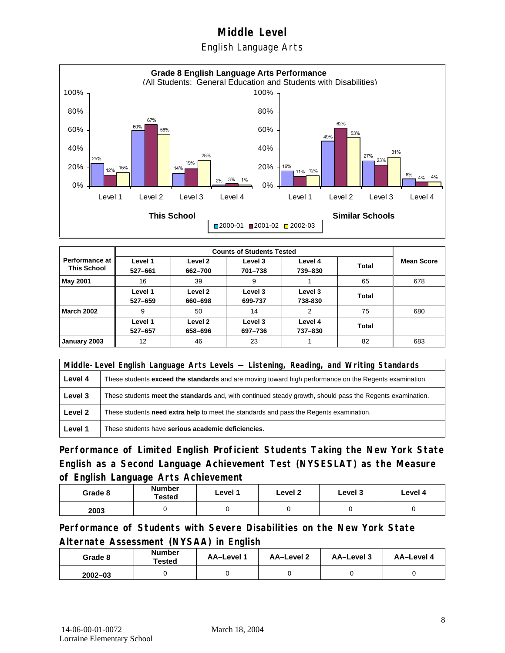English Language Arts



| <b>Performance at</b><br><b>This School</b> | Level 1<br>527-661 | Level 2<br>662-700 | Level 3<br>701-738 | Level 4<br>739-830 | Total | <b>Mean Score</b> |
|---------------------------------------------|--------------------|--------------------|--------------------|--------------------|-------|-------------------|
| May 2001                                    | 16                 | 39                 | 9                  |                    | 65    | 678               |
|                                             | Level 1<br>527-659 | Level 2<br>660-698 | Level 3<br>699-737 | Level 3<br>738-830 | Total |                   |
| <b>March 2002</b>                           | 9                  | 50                 | 14                 | 2                  | 75    | 680               |
|                                             | Level 1<br>527-657 | Level 2<br>658-696 | Level 3<br>697-736 | Level 4<br>737-830 | Total |                   |
| January 2003                                | 12                 | 46                 | 23                 |                    | 82    | 683               |

|         | Middle-Level English Language Arts Levels — Listening, Reading, and Writing Standards                         |  |  |
|---------|---------------------------------------------------------------------------------------------------------------|--|--|
| Level 4 | These students <b>exceed the standards</b> and are moving toward high performance on the Regents examination. |  |  |
| Level 3 | These students meet the standards and, with continued steady growth, should pass the Regents examination.     |  |  |
| Level 2 | These students <b>need extra help</b> to meet the standards and pass the Regents examination.                 |  |  |
| Level 1 | These students have serious academic deficiencies.                                                            |  |  |

**Performance of Limited English Proficient Students Taking the New York State English as a Second Language Achievement Test (NYSESLAT) as the Measure of English Language Arts Achievement**

| Grade 8 | <b>Number</b><br>Tested | Level 1 | Level 2 | Level 3 | Level 4 |
|---------|-------------------------|---------|---------|---------|---------|
| 2003    |                         |         |         |         |         |

**Performance of Students with Severe Disabilities on the New York State Alternate Assessment (NYSAA) in English** 

| Grade 8     | Number<br>Tested | AA-Level 1 | AA-Level 2 | AA-Level 3 | AA-Level 4 |
|-------------|------------------|------------|------------|------------|------------|
| $2002 - 03$ |                  |            |            |            |            |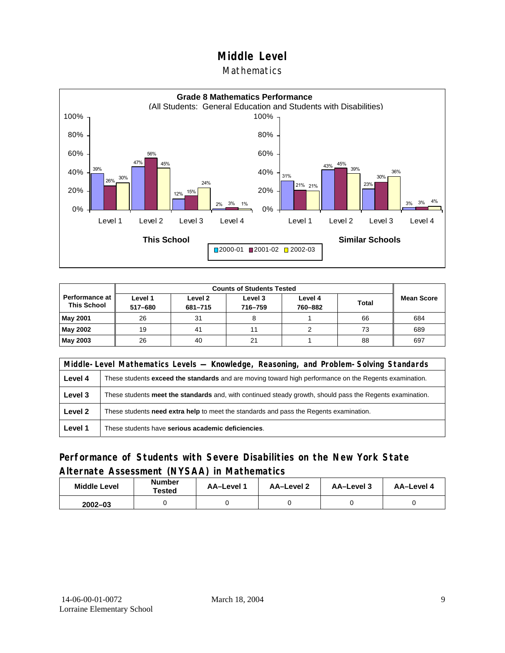#### Mathematics



| <b>Counts of Students Tested</b>     |                    |                    |                    |                    |              |                   |
|--------------------------------------|--------------------|--------------------|--------------------|--------------------|--------------|-------------------|
| Performance at<br><b>This School</b> | Level 1<br>517-680 | Level 2<br>681-715 | Level 3<br>716-759 | Level 4<br>760-882 | <b>Total</b> | <b>Mean Score</b> |
| May 2001                             | 26                 | 31                 |                    |                    | 66           | 684               |
| May 2002                             | 19                 | 41                 |                    |                    | 73           | 689               |
| <b>May 2003</b>                      | 26                 | 40                 | 21                 |                    | 88           | 697               |

|         | Middle-Level Mathematics Levels — Knowledge, Reasoning, and Problem-Solving Standards                     |  |  |
|---------|-----------------------------------------------------------------------------------------------------------|--|--|
| Level 4 | These students exceed the standards and are moving toward high performance on the Regents examination.    |  |  |
| Level 3 | These students meet the standards and, with continued steady growth, should pass the Regents examination. |  |  |
| Level 2 | These students <b>need extra help</b> to meet the standards and pass the Regents examination.             |  |  |
| Level 1 | These students have serious academic deficiencies.                                                        |  |  |

## **Performance of Students with Severe Disabilities on the New York State Alternate Assessment (NYSAA) in Mathematics**

| <b>Middle Level</b> | <b>Number</b><br>Tested | <b>AA-Level</b> | AA-Level 2 | AA-Level 3 | AA-Level 4 |  |
|---------------------|-------------------------|-----------------|------------|------------|------------|--|
| $2002 - 03$         |                         |                 |            |            |            |  |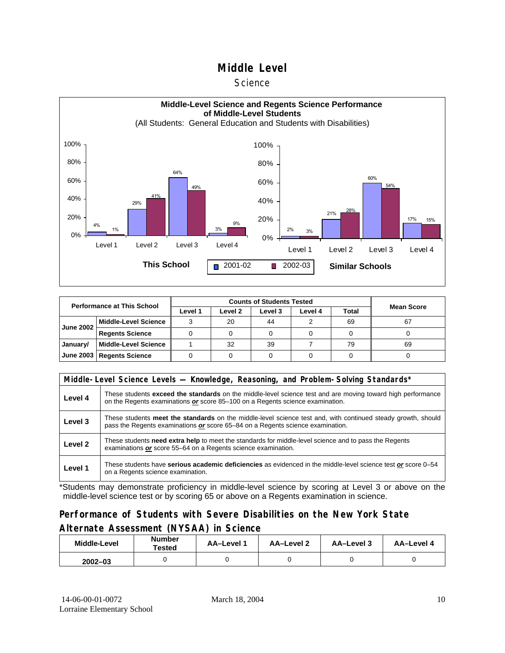#### **Science**



| <b>Performance at This School</b> |                             |         | <b>Counts of Students Tested</b> | <b>Mean Score</b> |         |       |    |
|-----------------------------------|-----------------------------|---------|----------------------------------|-------------------|---------|-------|----|
|                                   |                             | Level 1 | Level 2                          | Level 3           | Level 4 | Total |    |
| <b>June 2002</b>                  | <b>Middle-Level Science</b> |         | 20                               | 44                |         | 69    | 67 |
|                                   | <b>Regents Science</b>      |         |                                  |                   |         |       |    |
| January/                          | <b>Middle-Level Science</b> |         | 32                               | 39                |         | 79    | 69 |
|                                   | June 2003   Regents Science |         |                                  |                   |         |       |    |

|         | Middle-Level Science Levels — Knowledge, Reasoning, and Problem-Solving Standards*                                                                                                                  |  |  |  |  |  |  |  |  |
|---------|-----------------------------------------------------------------------------------------------------------------------------------------------------------------------------------------------------|--|--|--|--|--|--|--|--|
| Level 4 | These students <b>exceed the standards</b> on the middle-level science test and are moving toward high performance<br>on the Regents examinations or score 85-100 on a Regents science examination. |  |  |  |  |  |  |  |  |
| Level 3 | These students meet the standards on the middle-level science test and, with continued steady growth, should<br>pass the Regents examinations or score 65–84 on a Regents science examination.      |  |  |  |  |  |  |  |  |
| Level 2 | These students need extra help to meet the standards for middle-level science and to pass the Regents<br>examinations or score 55-64 on a Regents science examination.                              |  |  |  |  |  |  |  |  |
| Level 1 | These students have serious academic deficiencies as evidenced in the middle-level science test or score 0–54<br>on a Regents science examination.                                                  |  |  |  |  |  |  |  |  |

\*Students may demonstrate proficiency in middle-level science by scoring at Level 3 or above on the middle-level science test or by scoring 65 or above on a Regents examination in science.

## **Performance of Students with Severe Disabilities on the New York State Alternate Assessment (NYSAA) in Science**

| Middle-Level | <b>Number</b><br>Tested | AA-Level 1 | AA-Level 2 | AA-Level 3 | AA-Level 4 |  |
|--------------|-------------------------|------------|------------|------------|------------|--|
| $2002 - 03$  |                         |            |            |            |            |  |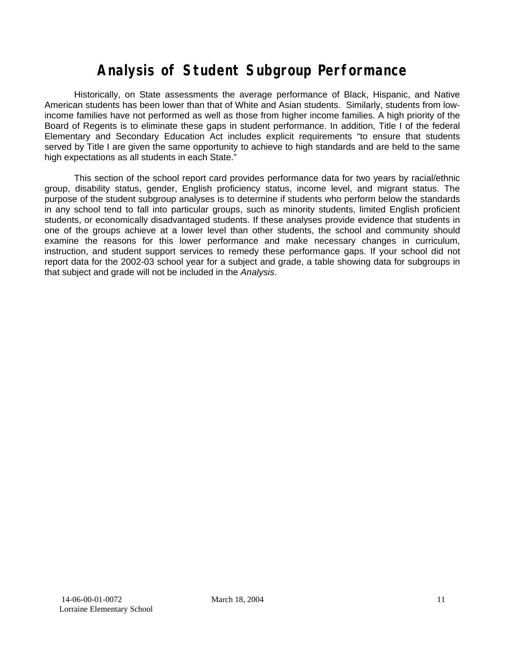# **Analysis of Student Subgroup Performance**

Historically, on State assessments the average performance of Black, Hispanic, and Native American students has been lower than that of White and Asian students. Similarly, students from lowincome families have not performed as well as those from higher income families. A high priority of the Board of Regents is to eliminate these gaps in student performance. In addition, Title I of the federal Elementary and Secondary Education Act includes explicit requirements "to ensure that students served by Title I are given the same opportunity to achieve to high standards and are held to the same high expectations as all students in each State."

This section of the school report card provides performance data for two years by racial/ethnic group, disability status, gender, English proficiency status, income level, and migrant status. The purpose of the student subgroup analyses is to determine if students who perform below the standards in any school tend to fall into particular groups, such as minority students, limited English proficient students, or economically disadvantaged students. If these analyses provide evidence that students in one of the groups achieve at a lower level than other students, the school and community should examine the reasons for this lower performance and make necessary changes in curriculum, instruction, and student support services to remedy these performance gaps. If your school did not report data for the 2002-03 school year for a subject and grade, a table showing data for subgroups in that subject and grade will not be included in the *Analysis*.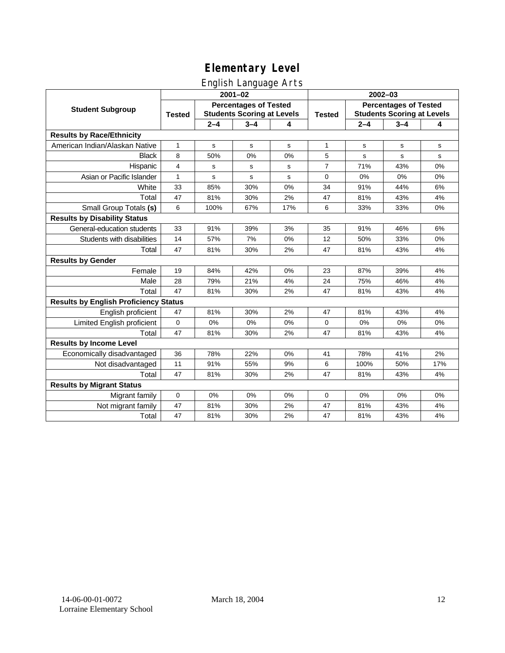# English Language Arts

|                                              |                                                                                    |         | ◡<br>$2001 - 02$ |               | $2002 - 03$                                                       |         |             |           |  |
|----------------------------------------------|------------------------------------------------------------------------------------|---------|------------------|---------------|-------------------------------------------------------------------|---------|-------------|-----------|--|
| <b>Student Subgroup</b>                      | <b>Percentages of Tested</b><br><b>Students Scoring at Levels</b><br><b>Tested</b> |         |                  | <b>Tested</b> | <b>Percentages of Tested</b><br><b>Students Scoring at Levels</b> |         |             |           |  |
|                                              |                                                                                    | $2 - 4$ | $3 - 4$          | 4             |                                                                   | $2 - 4$ | $3 - 4$     | 4         |  |
| <b>Results by Race/Ethnicity</b>             |                                                                                    |         |                  |               |                                                                   |         |             |           |  |
| American Indian/Alaskan Native               | 1                                                                                  | s       | $\mathbf s$      | s             | 1                                                                 | s       | $\mathbf s$ | ${\tt s}$ |  |
| <b>Black</b>                                 | 8                                                                                  | 50%     | 0%               | 0%            | 5                                                                 | s       | s           | s         |  |
| Hispanic                                     | 4                                                                                  | s       | s                | s             | $\overline{7}$                                                    | 71%     | 43%         | 0%        |  |
| Asian or Pacific Islander                    | 1                                                                                  | s       | $\mathbf s$      | s             | 0                                                                 | 0%      | 0%          | 0%        |  |
| White                                        | 33                                                                                 | 85%     | 30%              | 0%            | 34                                                                | 91%     | 44%         | 6%        |  |
| Total                                        | 47                                                                                 | 81%     | 30%              | 2%            | 47                                                                | 81%     | 43%         | 4%        |  |
| Small Group Totals (s)                       | 6                                                                                  | 100%    | 67%              | 17%           | 6                                                                 | 33%     | 33%         | 0%        |  |
| <b>Results by Disability Status</b>          |                                                                                    |         |                  |               |                                                                   |         |             |           |  |
| General-education students                   | 33                                                                                 | 91%     | 39%              | 3%            | 35                                                                | 91%     | 46%         | 6%        |  |
| Students with disabilities                   | 14                                                                                 | 57%     | 7%               | 0%            | 12                                                                | 50%     | 33%         | 0%        |  |
| Total                                        | 47                                                                                 | 81%     | 30%              | 2%            | 47                                                                | 81%     | 43%         | 4%        |  |
| <b>Results by Gender</b>                     |                                                                                    |         |                  |               |                                                                   |         |             |           |  |
| Female                                       | 19                                                                                 | 84%     | 42%              | 0%            | 23                                                                | 87%     | 39%         | 4%        |  |
| Male                                         | 28                                                                                 | 79%     | 21%              | 4%            | 24                                                                | 75%     | 46%         | 4%        |  |
| Total                                        | 47                                                                                 | 81%     | 30%              | 2%            | 47                                                                | 81%     | 43%         | 4%        |  |
| <b>Results by English Proficiency Status</b> |                                                                                    |         |                  |               |                                                                   |         |             |           |  |
| English proficient                           | 47                                                                                 | 81%     | 30%              | 2%            | 47                                                                | 81%     | 43%         | 4%        |  |
| Limited English proficient                   | 0                                                                                  | 0%      | 0%               | 0%            | $\mathbf 0$                                                       | 0%      | 0%          | 0%        |  |
| Total                                        | 47                                                                                 | 81%     | 30%              | 2%            | 47                                                                | 81%     | 43%         | 4%        |  |
| <b>Results by Income Level</b>               |                                                                                    |         |                  |               |                                                                   |         |             |           |  |
| Economically disadvantaged                   | 36                                                                                 | 78%     | 22%              | 0%            | 41                                                                | 78%     | 41%         | 2%        |  |
| Not disadvantaged                            | 11                                                                                 | 91%     | 55%              | 9%            | 6                                                                 | 100%    | 50%         | 17%       |  |
| Total                                        | 47                                                                                 | 81%     | 30%              | 2%            | 47                                                                | 81%     | 43%         | 4%        |  |
| <b>Results by Migrant Status</b>             |                                                                                    |         |                  |               |                                                                   |         |             |           |  |
| Migrant family                               | 0                                                                                  | 0%      | 0%               | 0%            | $\mathbf 0$                                                       | 0%      | 0%          | 0%        |  |
| Not migrant family                           | 47                                                                                 | 81%     | 30%              | 2%            | 47                                                                | 81%     | 43%         | 4%        |  |
| Total                                        | 47                                                                                 | 81%     | 30%              | 2%            | 47                                                                | 81%     | 43%         | 4%        |  |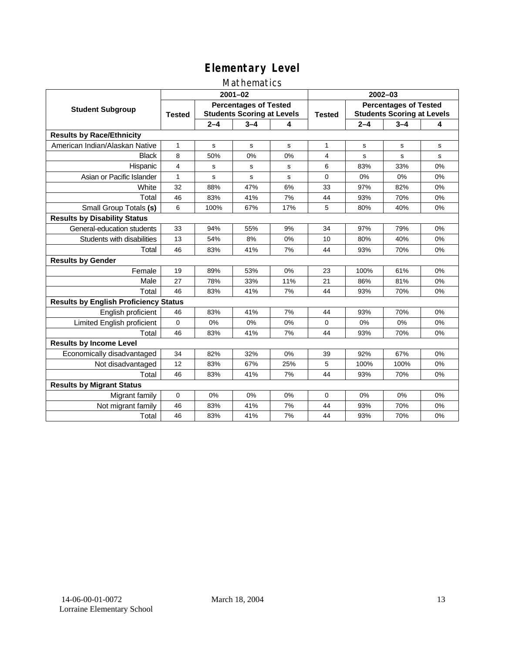## Mathematics

|                                              |                                                                                    |         | $2001 - 02$  |               | $2002 - 03$                                                       |         |                                                                                               |    |  |
|----------------------------------------------|------------------------------------------------------------------------------------|---------|--------------|---------------|-------------------------------------------------------------------|---------|-----------------------------------------------------------------------------------------------|----|--|
| <b>Student Subgroup</b>                      | <b>Percentages of Tested</b><br><b>Students Scoring at Levels</b><br><b>Tested</b> |         |              | <b>Tested</b> | <b>Percentages of Tested</b><br><b>Students Scoring at Levels</b> |         |                                                                                               |    |  |
|                                              |                                                                                    | $2 - 4$ | $3 - 4$      | 4             |                                                                   | $2 - 4$ | $3 - 4$<br>s<br>s<br>33%<br>0%<br>82%<br>70%<br>40%<br>79%<br>40%<br>70%<br>61%<br>81%<br>70% | 4  |  |
| <b>Results by Race/Ethnicity</b>             |                                                                                    |         |              |               |                                                                   |         |                                                                                               |    |  |
| American Indian/Alaskan Native               | 1                                                                                  | s       | s            | s             | $\mathbf{1}$                                                      | S       |                                                                                               | s  |  |
| <b>Black</b>                                 | 8                                                                                  | 50%     | 0%           | 0%            | 4                                                                 | s       |                                                                                               | s  |  |
| Hispanic                                     | 4                                                                                  | s       | s            | s             | 6                                                                 | 83%     |                                                                                               | 0% |  |
| Asian or Pacific Islander                    | 1                                                                                  | s       | $\mathsf{s}$ | s             | 0                                                                 | 0%      |                                                                                               | 0% |  |
| White                                        | 32                                                                                 | 88%     | 47%          | 6%            | 33                                                                | 97%     |                                                                                               | 0% |  |
| Total                                        | 46                                                                                 | 83%     | 41%          | 7%            | 44                                                                | 93%     |                                                                                               | 0% |  |
| Small Group Totals (s)                       | 6                                                                                  | 100%    | 67%          | 17%           | 5                                                                 | 80%     |                                                                                               | 0% |  |
| <b>Results by Disability Status</b>          |                                                                                    |         |              |               |                                                                   |         |                                                                                               |    |  |
| General-education students                   | 33                                                                                 | 94%     | 55%          | 9%            | 34                                                                | 97%     |                                                                                               | 0% |  |
| Students with disabilities                   | 13                                                                                 | 54%     | 8%           | 0%            | 10                                                                | 80%     |                                                                                               | 0% |  |
| Total                                        | 46                                                                                 | 83%     | 41%          | 7%            | 44                                                                | 93%     |                                                                                               | 0% |  |
| <b>Results by Gender</b>                     |                                                                                    |         |              |               |                                                                   |         |                                                                                               |    |  |
| Female                                       | 19                                                                                 | 89%     | 53%          | 0%            | 23                                                                | 100%    |                                                                                               | 0% |  |
| Male                                         | 27                                                                                 | 78%     | 33%          | 11%           | 21                                                                | 86%     |                                                                                               | 0% |  |
| Total                                        | 46                                                                                 | 83%     | 41%          | 7%            | 44                                                                | 93%     |                                                                                               | 0% |  |
| <b>Results by English Proficiency Status</b> |                                                                                    |         |              |               |                                                                   |         |                                                                                               |    |  |
| English proficient                           | 46                                                                                 | 83%     | 41%          | 7%            | 44                                                                | 93%     | 70%                                                                                           | 0% |  |
| Limited English proficient                   | $\Omega$                                                                           | 0%      | 0%           | 0%            | $\Omega$                                                          | 0%      | 0%                                                                                            | 0% |  |
| Total                                        | 46                                                                                 | 83%     | 41%          | 7%            | 44                                                                | 93%     | 70%                                                                                           | 0% |  |
| <b>Results by Income Level</b>               |                                                                                    |         |              |               |                                                                   |         |                                                                                               |    |  |
| Economically disadvantaged                   | 34                                                                                 | 82%     | 32%          | 0%            | 39                                                                | 92%     | 67%                                                                                           | 0% |  |
| Not disadvantaged                            | 12                                                                                 | 83%     | 67%          | 25%           | 5                                                                 | 100%    | 100%                                                                                          | 0% |  |
| Total                                        | 46                                                                                 | 83%     | 41%          | 7%            | 44                                                                | 93%     | 70%                                                                                           | 0% |  |
| <b>Results by Migrant Status</b>             |                                                                                    |         |              |               |                                                                   |         |                                                                                               |    |  |
| Migrant family                               | 0                                                                                  | 0%      | 0%           | 0%            | $\Omega$                                                          | 0%      | 0%                                                                                            | 0% |  |
| Not migrant family                           | 46                                                                                 | 83%     | 41%          | 7%            | 44                                                                | 93%     | 70%                                                                                           | 0% |  |
| Total                                        | 46                                                                                 | 83%     | 41%          | 7%            | 44                                                                | 93%     | 70%                                                                                           | 0% |  |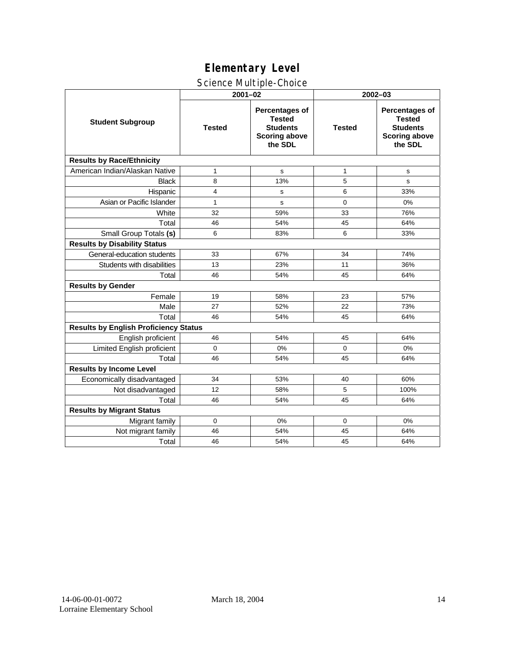## Science Multiple-Choice

|                                              | $2001 - 02$   |                                                                                              | $2002 - 03$   |                                                                                              |  |  |
|----------------------------------------------|---------------|----------------------------------------------------------------------------------------------|---------------|----------------------------------------------------------------------------------------------|--|--|
| <b>Student Subgroup</b>                      | <b>Tested</b> | <b>Percentages of</b><br><b>Tested</b><br><b>Students</b><br><b>Scoring above</b><br>the SDL | <b>Tested</b> | <b>Percentages of</b><br><b>Tested</b><br><b>Students</b><br><b>Scoring above</b><br>the SDL |  |  |
| <b>Results by Race/Ethnicity</b>             |               |                                                                                              |               |                                                                                              |  |  |
| American Indian/Alaskan Native               | 1             | s                                                                                            | $\mathbf{1}$  | $\mathbf s$                                                                                  |  |  |
| <b>Black</b>                                 | 8             | 13%                                                                                          | 5             | s                                                                                            |  |  |
| Hispanic                                     | 4             | s                                                                                            | 6             | 33%                                                                                          |  |  |
| Asian or Pacific Islander                    | $\mathbf{1}$  | s                                                                                            | 0             | 0%                                                                                           |  |  |
| White                                        | 32            | 59%                                                                                          | 33            | 76%                                                                                          |  |  |
| Total                                        | 46            | 54%                                                                                          | 45            | 64%                                                                                          |  |  |
| Small Group Totals (s)                       | 6             | 83%                                                                                          | 6             | 33%                                                                                          |  |  |
| <b>Results by Disability Status</b>          |               |                                                                                              |               |                                                                                              |  |  |
| General-education students                   | 33            | 67%                                                                                          | 34            | 74%                                                                                          |  |  |
| Students with disabilities                   | 13            | 23%                                                                                          | 11            | 36%                                                                                          |  |  |
| Total                                        | 46            | 54%                                                                                          | 45            | 64%                                                                                          |  |  |
| <b>Results by Gender</b>                     |               |                                                                                              |               |                                                                                              |  |  |
| Female                                       | 19            | 58%                                                                                          | 23            | 57%                                                                                          |  |  |
| Male                                         | 27            | 52%                                                                                          | 22            | 73%                                                                                          |  |  |
| Total                                        | 46            | 54%                                                                                          | 45            | 64%                                                                                          |  |  |
| <b>Results by English Proficiency Status</b> |               |                                                                                              |               |                                                                                              |  |  |
| English proficient                           | 46            | 54%                                                                                          | 45            | 64%                                                                                          |  |  |
| Limited English proficient                   | $\Omega$      | 0%                                                                                           | $\Omega$      | 0%                                                                                           |  |  |
| Total                                        | 46            | 54%                                                                                          | 45            | 64%                                                                                          |  |  |
| <b>Results by Income Level</b>               |               |                                                                                              |               |                                                                                              |  |  |
| Economically disadvantaged                   | 34            | 53%                                                                                          | 40            | 60%                                                                                          |  |  |
| Not disadvantaged                            | 12            | 58%                                                                                          | 5             | 100%                                                                                         |  |  |
| Total                                        | 46            | 54%                                                                                          | 45            | 64%                                                                                          |  |  |
| <b>Results by Migrant Status</b>             |               |                                                                                              |               |                                                                                              |  |  |
| Migrant family                               | $\mathbf 0$   | 0%                                                                                           | $\mathbf 0$   | 0%                                                                                           |  |  |
| Not migrant family                           | 46            | 54%                                                                                          | 45            | 64%                                                                                          |  |  |
| Total                                        | 46            | 54%                                                                                          | 45            | 64%                                                                                          |  |  |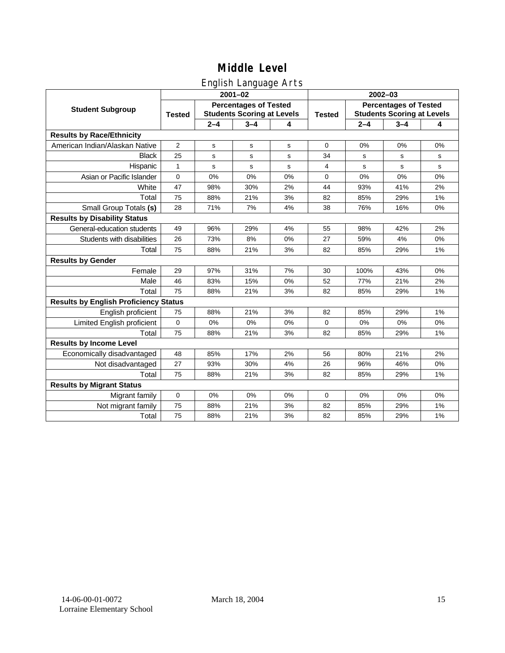## English Language Arts

|                                              |                                                                                    |             | ັ<br>$2001 - 02$ |               | 2002-03                                                           |         |         |       |  |
|----------------------------------------------|------------------------------------------------------------------------------------|-------------|------------------|---------------|-------------------------------------------------------------------|---------|---------|-------|--|
| <b>Student Subgroup</b>                      | <b>Percentages of Tested</b><br><b>Students Scoring at Levels</b><br><b>Tested</b> |             |                  | <b>Tested</b> | <b>Percentages of Tested</b><br><b>Students Scoring at Levels</b> |         |         |       |  |
|                                              |                                                                                    | $2 - 4$     | $3 - 4$          | 4             |                                                                   | $2 - 4$ | $3 - 4$ | 4     |  |
| <b>Results by Race/Ethnicity</b>             |                                                                                    |             |                  |               |                                                                   |         |         |       |  |
| American Indian/Alaskan Native               | $\overline{2}$                                                                     | $\mathbf s$ | s                | s             | $\mathbf 0$                                                       | 0%      | 0%      | 0%    |  |
| <b>Black</b>                                 | 25                                                                                 | s           | s                | s             | 34                                                                | s       | s       | s     |  |
| Hispanic                                     | $\mathbf{1}$                                                                       | s           | s                | s             | 4                                                                 | s       | s       | s     |  |
| Asian or Pacific Islander                    | $\mathbf 0$                                                                        | 0%          | 0%               | 0%            | $\mathbf 0$                                                       | 0%      | 0%      | 0%    |  |
| White                                        | 47                                                                                 | 98%         | 30%              | 2%            | 44                                                                | 93%     | 41%     | 2%    |  |
| Total                                        | 75                                                                                 | 88%         | 21%              | 3%            | 82                                                                | 85%     | 29%     | 1%    |  |
| Small Group Totals (s)                       | 28                                                                                 | 71%         | 7%               | 4%            | 38                                                                | 76%     | 16%     | 0%    |  |
| <b>Results by Disability Status</b>          |                                                                                    |             |                  |               |                                                                   |         |         |       |  |
| General-education students                   | 49                                                                                 | 96%         | 29%              | 4%            | 55                                                                | 98%     | 42%     | 2%    |  |
| Students with disabilities                   | 26                                                                                 | 73%         | 8%               | 0%            | 27                                                                | 59%     | 4%      | $0\%$ |  |
| Total                                        | 75                                                                                 | 88%         | 21%              | 3%            | 82                                                                | 85%     | 29%     | 1%    |  |
| <b>Results by Gender</b>                     |                                                                                    |             |                  |               |                                                                   |         |         |       |  |
| Female                                       | 29                                                                                 | 97%         | 31%              | 7%            | 30                                                                | 100%    | 43%     | 0%    |  |
| Male                                         | 46                                                                                 | 83%         | 15%              | 0%            | 52                                                                | 77%     | 21%     | 2%    |  |
| Total                                        | 75                                                                                 | 88%         | 21%              | 3%            | 82                                                                | 85%     | 29%     | 1%    |  |
| <b>Results by English Proficiency Status</b> |                                                                                    |             |                  |               |                                                                   |         |         |       |  |
| English proficient                           | 75                                                                                 | 88%         | 21%              | 3%            | 82                                                                | 85%     | 29%     | 1%    |  |
| Limited English proficient                   | 0                                                                                  | 0%          | 0%               | 0%            | $\pmb{0}$                                                         | 0%      | 0%      | 0%    |  |
| Total                                        | 75                                                                                 | 88%         | 21%              | 3%            | 82                                                                | 85%     | 29%     | 1%    |  |
| <b>Results by Income Level</b>               |                                                                                    |             |                  |               |                                                                   |         |         |       |  |
| Economically disadvantaged                   | 48                                                                                 | 85%         | 17%              | 2%            | 56                                                                | 80%     | 21%     | 2%    |  |
| Not disadvantaged                            | 27                                                                                 | 93%         | 30%              | 4%            | 26                                                                | 96%     | 46%     | 0%    |  |
| Total                                        | 75                                                                                 | 88%         | 21%              | 3%            | 82                                                                | 85%     | 29%     | 1%    |  |
| <b>Results by Migrant Status</b>             |                                                                                    |             |                  |               |                                                                   |         |         |       |  |
| Migrant family                               | $\mathbf 0$                                                                        | 0%          | 0%               | 0%            | 0                                                                 | 0%      | 0%      | 0%    |  |
| Not migrant family                           | 75                                                                                 | 88%         | 21%              | 3%            | 82                                                                | 85%     | 29%     | 1%    |  |
| Total                                        | 75                                                                                 | 88%         | 21%              | 3%            | 82                                                                | 85%     | 29%     | 1%    |  |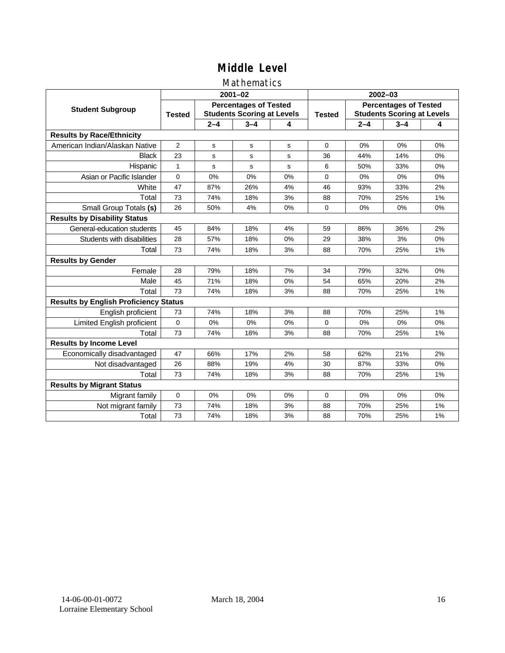## Mathematics

|                                              |                                                                                    |         | $2001 - 02$ |               | $2002 - 03$                                                       |         |                                                                                                                    |    |  |
|----------------------------------------------|------------------------------------------------------------------------------------|---------|-------------|---------------|-------------------------------------------------------------------|---------|--------------------------------------------------------------------------------------------------------------------|----|--|
| <b>Student Subgroup</b>                      | <b>Percentages of Tested</b><br><b>Students Scoring at Levels</b><br><b>Tested</b> |         |             | <b>Tested</b> | <b>Percentages of Tested</b><br><b>Students Scoring at Levels</b> |         |                                                                                                                    |    |  |
|                                              |                                                                                    | $2 - 4$ | $3 - 4$     | 4             |                                                                   | $2 - 4$ | $3 - 4$<br>0%<br>14%<br>33%<br>0%<br>33%<br>25%<br>0%<br>36%<br>3%<br>25%<br>32%<br>20%<br>25%<br>25%<br>0%<br>25% | 4  |  |
| <b>Results by Race/Ethnicity</b>             |                                                                                    |         |             |               |                                                                   |         |                                                                                                                    |    |  |
| American Indian/Alaskan Native               | $\overline{2}$                                                                     | s       | s           | s             | $\Omega$                                                          | 0%      |                                                                                                                    | 0% |  |
| <b>Black</b>                                 | 23                                                                                 | s       | s           | s             | 36                                                                | 44%     |                                                                                                                    | 0% |  |
| Hispanic                                     | $\mathbf{1}$                                                                       | s       | s           | s             | 6                                                                 | 50%     |                                                                                                                    | 0% |  |
| Asian or Pacific Islander                    | $\mathbf 0$                                                                        | 0%      | 0%          | 0%            | 0                                                                 | 0%      |                                                                                                                    | 0% |  |
| White                                        | 47                                                                                 | 87%     | 26%         | 4%            | 46                                                                | 93%     |                                                                                                                    | 2% |  |
| Total                                        | 73                                                                                 | 74%     | 18%         | 3%            | 88                                                                | 70%     |                                                                                                                    | 1% |  |
| Small Group Totals (s)                       | 26                                                                                 | 50%     | 4%          | 0%            | $\Omega$                                                          | 0%      |                                                                                                                    | 0% |  |
| <b>Results by Disability Status</b>          |                                                                                    |         |             |               |                                                                   |         |                                                                                                                    |    |  |
| General-education students                   | 45                                                                                 | 84%     | 18%         | 4%            | 59                                                                | 86%     |                                                                                                                    | 2% |  |
| Students with disabilities                   | 28                                                                                 | 57%     | 18%         | 0%            | 29                                                                | 38%     |                                                                                                                    | 0% |  |
| Total                                        | 73                                                                                 | 74%     | 18%         | 3%            | 88                                                                | 70%     |                                                                                                                    | 1% |  |
| <b>Results by Gender</b>                     |                                                                                    |         |             |               |                                                                   |         |                                                                                                                    |    |  |
| Female                                       | 28                                                                                 | 79%     | 18%         | 7%            | 34                                                                | 79%     |                                                                                                                    | 0% |  |
| Male                                         | 45                                                                                 | 71%     | 18%         | 0%            | 54                                                                | 65%     |                                                                                                                    | 2% |  |
| Total                                        | 73                                                                                 | 74%     | 18%         | 3%            | 88                                                                | 70%     |                                                                                                                    | 1% |  |
| <b>Results by English Proficiency Status</b> |                                                                                    |         |             |               |                                                                   |         |                                                                                                                    |    |  |
| English proficient                           | 73                                                                                 | 74%     | 18%         | 3%            | 88                                                                | 70%     |                                                                                                                    | 1% |  |
| Limited English proficient                   | 0                                                                                  | 0%      | 0%          | 0%            | 0                                                                 | 0%      |                                                                                                                    | 0% |  |
| Total                                        | 73                                                                                 | 74%     | 18%         | 3%            | 88                                                                | 70%     |                                                                                                                    | 1% |  |
| <b>Results by Income Level</b>               |                                                                                    |         |             |               |                                                                   |         |                                                                                                                    |    |  |
| Economically disadvantaged                   | 47                                                                                 | 66%     | 17%         | 2%            | 58                                                                | 62%     | 21%                                                                                                                | 2% |  |
| Not disadvantaged                            | 26                                                                                 | 88%     | 19%         | 4%            | 30                                                                | 87%     | 33%                                                                                                                | 0% |  |
| Total                                        | 73                                                                                 | 74%     | 18%         | 3%            | 88                                                                | 70%     | 25%                                                                                                                | 1% |  |
| <b>Results by Migrant Status</b>             |                                                                                    |         |             |               |                                                                   |         |                                                                                                                    |    |  |
| Migrant family                               | 0                                                                                  | 0%      | 0%          | 0%            | 0                                                                 | 0%      | 0%                                                                                                                 | 0% |  |
| Not migrant family                           | 73                                                                                 | 74%     | 18%         | 3%            | 88                                                                | 70%     | 25%                                                                                                                | 1% |  |
| Total                                        | 73                                                                                 | 74%     | 18%         | 3%            | 88                                                                | 70%     | 25%                                                                                                                | 1% |  |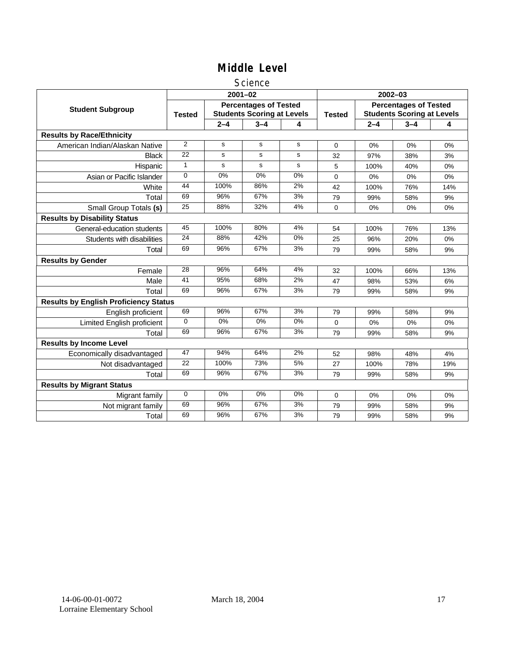### Science

|                                              |                                                                                    |         | $2001 - 02$ |               | $2002 - 03$                                                       |         |         |     |  |
|----------------------------------------------|------------------------------------------------------------------------------------|---------|-------------|---------------|-------------------------------------------------------------------|---------|---------|-----|--|
| <b>Student Subgroup</b>                      | <b>Percentages of Tested</b><br><b>Students Scoring at Levels</b><br><b>Tested</b> |         |             | <b>Tested</b> | <b>Percentages of Tested</b><br><b>Students Scoring at Levels</b> |         |         |     |  |
|                                              |                                                                                    | $2 - 4$ | $3 - 4$     | 4             |                                                                   | $2 - 4$ | $3 - 4$ | 4   |  |
| <b>Results by Race/Ethnicity</b>             |                                                                                    |         |             |               |                                                                   |         |         |     |  |
| American Indian/Alaskan Native               | $\overline{2}$                                                                     | s       | s           | s             | $\Omega$                                                          | 0%      | 0%      | 0%  |  |
| <b>Black</b>                                 | 22                                                                                 | s       | s           | s             | 32                                                                | 97%     | 38%     | 3%  |  |
| Hispanic                                     | 1                                                                                  | s       | s           | s             | 5                                                                 | 100%    | 40%     | 0%  |  |
| Asian or Pacific Islander                    | $\Omega$                                                                           | 0%      | $0\%$       | 0%            | 0                                                                 | 0%      | 0%      | 0%  |  |
| White                                        | 44                                                                                 | 100%    | 86%         | 2%            | 42                                                                | 100%    | 76%     | 14% |  |
| Total                                        | 69                                                                                 | 96%     | 67%         | 3%            | 79                                                                | 99%     | 58%     | 9%  |  |
| Small Group Totals (s)                       | 25                                                                                 | 88%     | 32%         | 4%            | 0                                                                 | 0%      | 0%      | 0%  |  |
| <b>Results by Disability Status</b>          |                                                                                    |         |             |               |                                                                   |         |         |     |  |
| General-education students                   | 45                                                                                 | 100%    | 80%         | 4%            | 54                                                                | 100%    | 76%     | 13% |  |
| Students with disabilities                   | 24                                                                                 | 88%     | 42%         | $0\%$         | 25                                                                | 96%     | 20%     | 0%  |  |
| Total                                        | 69                                                                                 | 96%     | 67%         | 3%            | 79                                                                | 99%     | 58%     | 9%  |  |
| <b>Results by Gender</b>                     |                                                                                    |         |             |               |                                                                   |         |         |     |  |
| Female                                       | 28                                                                                 | 96%     | 64%         | 4%            | 32                                                                | 100%    | 66%     | 13% |  |
| Male                                         | 41                                                                                 | 95%     | 68%         | 2%            | 47                                                                | 98%     | 53%     | 6%  |  |
| Total                                        | 69                                                                                 | 96%     | 67%         | 3%            | 79                                                                | 99%     | 58%     | 9%  |  |
| <b>Results by English Proficiency Status</b> |                                                                                    |         |             |               |                                                                   |         |         |     |  |
| English proficient                           | 69                                                                                 | 96%     | 67%         | 3%            | 79                                                                | 99%     | 58%     | 9%  |  |
| <b>Limited English proficient</b>            | $\Omega$                                                                           | 0%      | $0\%$       | $0\%$         | 0                                                                 | 0%      | 0%      | 0%  |  |
| Total                                        | 69                                                                                 | 96%     | 67%         | 3%            | 79                                                                | 99%     | 58%     | 9%  |  |
| <b>Results by Income Level</b>               |                                                                                    |         |             |               |                                                                   |         |         |     |  |
| Economically disadvantaged                   | 47                                                                                 | 94%     | 64%         | 2%            | 52                                                                | 98%     | 48%     | 4%  |  |
| Not disadvantaged                            | 22                                                                                 | 100%    | 73%         | 5%            | 27                                                                | 100%    | 78%     | 19% |  |
| Total                                        | 69                                                                                 | 96%     | 67%         | 3%            | 79                                                                | 99%     | 58%     | 9%  |  |
| <b>Results by Migrant Status</b>             |                                                                                    |         |             |               |                                                                   |         |         |     |  |
| Migrant family                               | 0                                                                                  | 0%      | 0%          | 0%            | 0                                                                 | $0\%$   | 0%      | 0%  |  |
| Not migrant family                           | 69                                                                                 | 96%     | 67%         | 3%            | 79                                                                | 99%     | 58%     | 9%  |  |
| Total                                        | 69                                                                                 | 96%     | 67%         | 3%            | 79                                                                | 99%     | 58%     | 9%  |  |